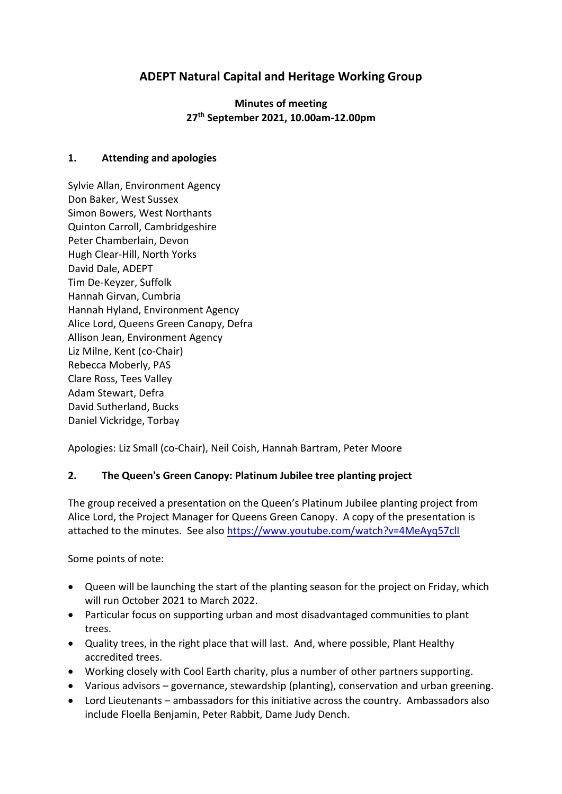# **ADEPT Natural Capital and Heritage Working Group**

**Minutes of meeting 27 th September 2021, 10.00am-12.00pm**

#### **1. Attending and apologies**

Sylvie Allan, Environment Agency Don Baker, West Sussex Simon Bowers, West Northants Quinton Carroll, Cambridgeshire Peter Chamberlain, Devon Hugh Clear-Hill, North Yorks David Dale, ADEPT Tim De-Keyzer, Suffolk Hannah Girvan, Cumbria Hannah Hyland, Environment Agency Alice Lord, Queens Green Canopy, Defra Allison Jean, Environment Agency Liz Milne, Kent (co-Chair) Rebecca Moberly, PAS Clare Ross, Tees Valley Adam Stewart, Defra David Sutherland, Bucks Daniel Vickridge, Torbay

Apologies: Liz Small (co-Chair), Neil Coish, Hannah Bartram, Peter Moore

#### **2. The Queen's Green Canopy: Platinum Jubilee tree planting project**

The group received a presentation on the Queen's Platinum Jubilee planting project from Alice Lord, the Project Manager for Queens Green Canopy. A copy of the presentation is attached to the minutes. See also<https://www.youtube.com/watch?v=4MeAyq57clI>

Some points of note:

- Queen will be launching the start of the planting season for the project on Friday, which will run October 2021 to March 2022.
- Particular focus on supporting urban and most disadvantaged communities to plant trees.
- Quality trees, in the right place that will last. And, where possible, Plant Healthy accredited trees.
- Working closely with Cool Earth charity, plus a number of other partners supporting.
- Various advisors governance, stewardship (planting), conservation and urban greening.
- Lord Lieutenants ambassadors for this initiative across the country. Ambassadors also include Floella Benjamin, Peter Rabbit, Dame Judy Dench.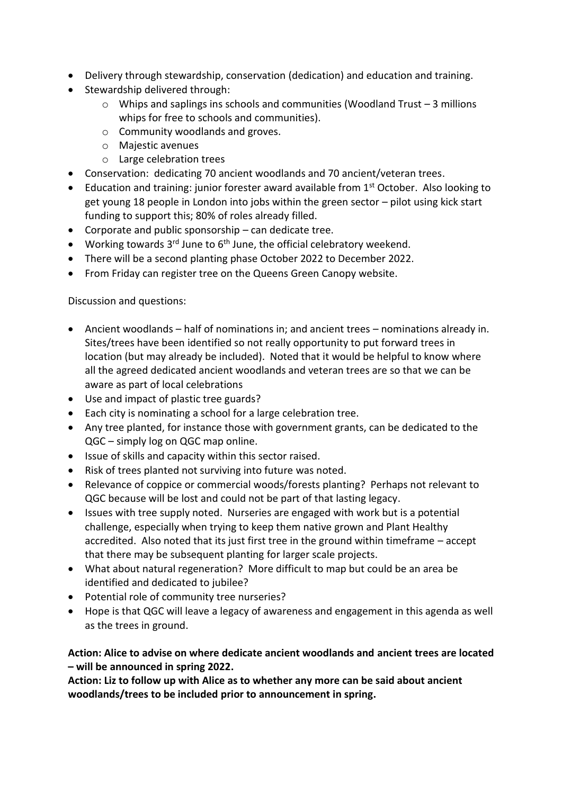- Delivery through stewardship, conservation (dedication) and education and training.
- Stewardship delivered through:
	- o Whips and saplings ins schools and communities (Woodland Trust 3 millions whips for free to schools and communities).
	- o Community woodlands and groves.
	- o Majestic avenues
	- o Large celebration trees
- Conservation: dedicating 70 ancient woodlands and 70 ancient/veteran trees.
- Education and training: junior forester award available from  $1<sup>st</sup>$  October. Also looking to get young 18 people in London into jobs within the green sector – pilot using kick start funding to support this; 80% of roles already filled.
- Corporate and public sponsorship can dedicate tree.
- Working towards  $3^{rd}$  June to  $6^{th}$  June, the official celebratory weekend.
- There will be a second planting phase October 2022 to December 2022.
- From Friday can register tree on the Queens Green Canopy website.

Discussion and questions:

- Ancient woodlands half of nominations in; and ancient trees nominations already in. Sites/trees have been identified so not really opportunity to put forward trees in location (but may already be included). Noted that it would be helpful to know where all the agreed dedicated ancient woodlands and veteran trees are so that we can be aware as part of local celebrations
- Use and impact of plastic tree guards?
- Each city is nominating a school for a large celebration tree.
- Any tree planted, for instance those with government grants, can be dedicated to the QGC – simply log on QGC map online.
- Issue of skills and capacity within this sector raised.
- Risk of trees planted not surviving into future was noted.
- Relevance of coppice or commercial woods/forests planting? Perhaps not relevant to QGC because will be lost and could not be part of that lasting legacy.
- Issues with tree supply noted. Nurseries are engaged with work but is a potential challenge, especially when trying to keep them native grown and Plant Healthy accredited. Also noted that its just first tree in the ground within timeframe – accept that there may be subsequent planting for larger scale projects.
- What about natural regeneration? More difficult to map but could be an area be identified and dedicated to jubilee?
- Potential role of community tree nurseries?
- Hope is that QGC will leave a legacy of awareness and engagement in this agenda as well as the trees in ground.

**Action: Alice to advise on where dedicate ancient woodlands and ancient trees are located – will be announced in spring 2022.**

**Action: Liz to follow up with Alice as to whether any more can be said about ancient woodlands/trees to be included prior to announcement in spring.**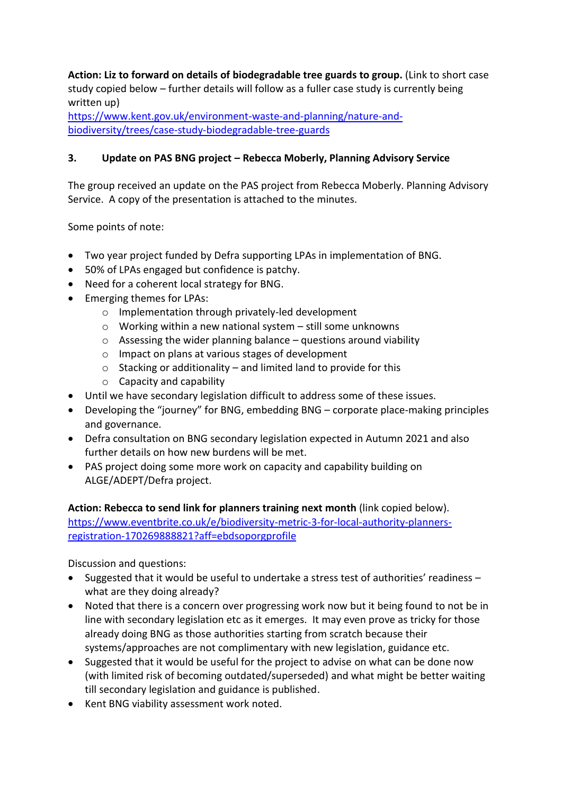**Action: Liz to forward on details of biodegradable tree guards to group.** (Link to short case study copied below – further details will follow as a fuller case study is currently being written up)

[https://www.kent.gov.uk/environment-waste-and-planning/nature-and](https://www.kent.gov.uk/environment-waste-and-planning/nature-and-biodiversity/trees/case-study-biodegradable-tree-guards)[biodiversity/trees/case-study-biodegradable-tree-guards](https://www.kent.gov.uk/environment-waste-and-planning/nature-and-biodiversity/trees/case-study-biodegradable-tree-guards)

#### **3. Update on PAS BNG project – Rebecca Moberly, Planning Advisory Service**

The group received an update on the PAS project from Rebecca Moberly. Planning Advisory Service. A copy of the presentation is attached to the minutes.

Some points of note:

- Two year project funded by Defra supporting LPAs in implementation of BNG.
- 50% of LPAs engaged but confidence is patchy.
- Need for a coherent local strategy for BNG.
- Emerging themes for LPAs:
	- o Implementation through privately-led development
	- o Working within a new national system still some unknowns
	- $\circ$  Assessing the wider planning balance questions around viability
	- o Impact on plans at various stages of development
	- $\circ$  Stacking or additionality and limited land to provide for this
	- o Capacity and capability
- Until we have secondary legislation difficult to address some of these issues.
- Developing the "journey" for BNG, embedding BNG corporate place-making principles and governance.
- Defra consultation on BNG secondary legislation expected in Autumn 2021 and also further details on how new burdens will be met.
- PAS project doing some more work on capacity and capability building on ALGE/ADEPT/Defra project.

**Action: Rebecca to send link for planners training next month** (link copied below). [https://www.eventbrite.co.uk/e/biodiversity-metric-3-for-local-authority-planners](https://www.eventbrite.co.uk/e/biodiversity-metric-3-for-local-authority-planners-registration-170269888821?aff=ebdsoporgprofile)[registration-170269888821?aff=ebdsoporgprofile](https://www.eventbrite.co.uk/e/biodiversity-metric-3-for-local-authority-planners-registration-170269888821?aff=ebdsoporgprofile)

Discussion and questions:

- Suggested that it would be useful to undertake a stress test of authorities' readiness what are they doing already?
- Noted that there is a concern over progressing work now but it being found to not be in line with secondary legislation etc as it emerges. It may even prove as tricky for those already doing BNG as those authorities starting from scratch because their systems/approaches are not complimentary with new legislation, guidance etc.
- Suggested that it would be useful for the project to advise on what can be done now (with limited risk of becoming outdated/superseded) and what might be better waiting till secondary legislation and guidance is published.
- Kent BNG viability assessment work noted.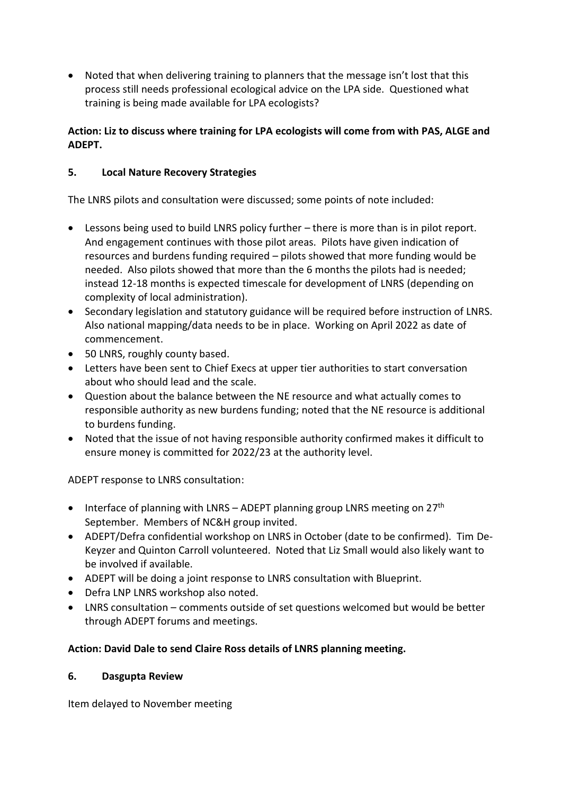• Noted that when delivering training to planners that the message isn't lost that this process still needs professional ecological advice on the LPA side. Questioned what training is being made available for LPA ecologists?

### **Action: Liz to discuss where training for LPA ecologists will come from with PAS, ALGE and ADEPT.**

### **5. Local Nature Recovery Strategies**

The LNRS pilots and consultation were discussed; some points of note included:

- Lessons being used to build LNRS policy further there is more than is in pilot report. And engagement continues with those pilot areas. Pilots have given indication of resources and burdens funding required – pilots showed that more funding would be needed. Also pilots showed that more than the 6 months the pilots had is needed; instead 12-18 months is expected timescale for development of LNRS (depending on complexity of local administration).
- Secondary legislation and statutory guidance will be required before instruction of LNRS. Also national mapping/data needs to be in place. Working on April 2022 as date of commencement.
- 50 LNRS, roughly county based.
- Letters have been sent to Chief Execs at upper tier authorities to start conversation about who should lead and the scale.
- Question about the balance between the NE resource and what actually comes to responsible authority as new burdens funding; noted that the NE resource is additional to burdens funding.
- Noted that the issue of not having responsible authority confirmed makes it difficult to ensure money is committed for 2022/23 at the authority level.

ADEPT response to LNRS consultation:

- Interface of planning with LNRS ADEPT planning group LNRS meeting on 27<sup>th</sup> September. Members of NC&H group invited.
- ADEPT/Defra confidential workshop on LNRS in October (date to be confirmed). Tim De-Keyzer and Quinton Carroll volunteered. Noted that Liz Small would also likely want to be involved if available.
- ADEPT will be doing a joint response to LNRS consultation with Blueprint.
- Defra LNP LNRS workshop also noted.
- LNRS consultation comments outside of set questions welcomed but would be better through ADEPT forums and meetings.

### **Action: David Dale to send Claire Ross details of LNRS planning meeting.**

#### **6. Dasgupta Review**

Item delayed to November meeting